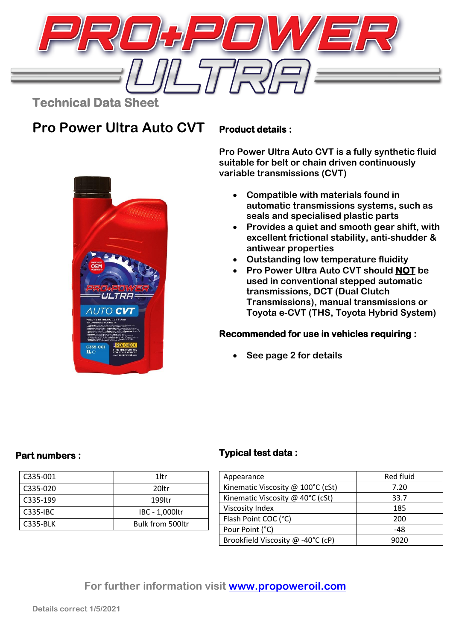

**Pro Power Ultra Auto CVT**

### **Product details :**

**Pro Power Ultra Auto CVT is a fully synthetic fluid suitable for belt or chain driven continuously variable transmissions (CVT)**

- **Compatible with materials found in automatic transmissions systems, such as seals and specialised plastic parts**
- **Provides a quiet and smooth gear shift, with excellent frictional stability, anti-shudder & antiwear properties**
- **Outstanding low temperature fluidity**
- **Pro Power Ultra Auto CVT should NOT be used in conventional stepped automatic transmissions, DCT (Dual Clutch Transmissions), manual transmissions or Toyota e-CVT (THS, Toyota Hybrid System)**

### **Recommended for use in vehicles requiring :**

• **See page 2 for details**



### **Part numbers :**

| C335-001        | 1 <sub>ltr</sub>        |
|-----------------|-------------------------|
| C335-020        | 20 <sub>ltr</sub>       |
| C335-199        | 199ltr                  |
| $C335-HC$       | IBC - 1,000ltr          |
| <b>C335-BLK</b> | <b>Bulk from 500ltr</b> |

## **Typical test data :**

| Appearance                        | Red fluid |
|-----------------------------------|-----------|
| Kinematic Viscosity @ 100°C (cSt) | 7.20      |
| Kinematic Viscosity @ 40°C (cSt)  | 33.7      |
| Viscosity Index                   | 185       |
| Flash Point COC (°C)              | 200       |
| Pour Point (°C)                   | -48       |
| Brookfield Viscosity @ -40°C (cP) | 9020      |

# **For further information visit [www.propoweroil.com](http://www.propoweroil.com/)**